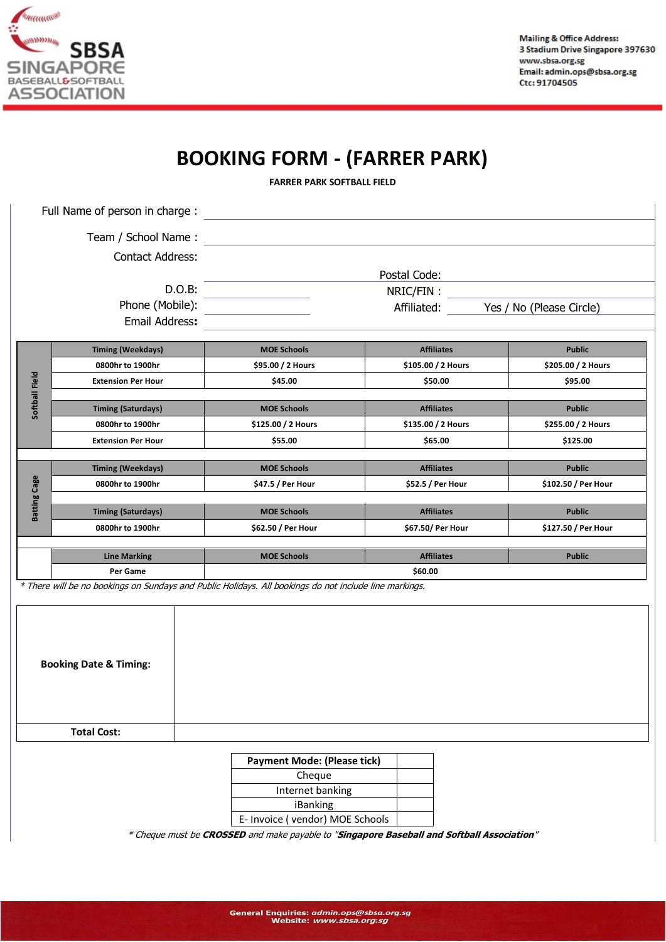

## **BOOKING FORM - (FARRER PARK)**

**FARRER PARK SOFTBALL FIELD**

| Full Name of person in charge :   |                                               |                                                                                                        |                                         |                                     |  |
|-----------------------------------|-----------------------------------------------|--------------------------------------------------------------------------------------------------------|-----------------------------------------|-------------------------------------|--|
|                                   | Team / School Name:                           |                                                                                                        |                                         |                                     |  |
|                                   | <b>Contact Address:</b>                       |                                                                                                        |                                         |                                     |  |
|                                   |                                               |                                                                                                        | Postal Code:                            |                                     |  |
| D.O.B:<br>Phone (Mobile):         |                                               | NRIC/FIN:<br>Yes / No (Please Circle)<br>Affiliated:                                                   |                                         |                                     |  |
|                                   |                                               |                                                                                                        |                                         |                                     |  |
|                                   | <b>Timing (Weekdays)</b>                      | <b>MOE Schools</b>                                                                                     | <b>Affiliates</b>                       | <b>Public</b>                       |  |
|                                   | 0800hr to 1900hr                              | \$95.00 / 2 Hours                                                                                      | \$105.00 / 2 Hours                      | \$205.00 / 2 Hours                  |  |
|                                   | <b>Extension Per Hour</b>                     | \$45.00                                                                                                | \$50.00                                 | \$95.00                             |  |
| Softball Field                    |                                               |                                                                                                        |                                         |                                     |  |
|                                   | <b>Timing (Saturdays)</b><br>0800hr to 1900hr | <b>MOE Schools</b><br>\$125.00 / 2 Hours                                                               | <b>Affiliates</b><br>\$135.00 / 2 Hours | <b>Public</b><br>\$255.00 / 2 Hours |  |
|                                   | <b>Extension Per Hour</b>                     | \$55.00                                                                                                | \$65.00                                 | \$125.00                            |  |
|                                   |                                               |                                                                                                        |                                         |                                     |  |
| Batting Cage                      | <b>Timing (Weekdays)</b>                      | <b>MOE Schools</b>                                                                                     | <b>Affiliates</b>                       | <b>Public</b>                       |  |
|                                   | 0800hr to 1900hr                              | \$47.5 / Per Hour                                                                                      | \$52.5 / Per Hour                       | \$102.50 / Per Hour                 |  |
|                                   | <b>Timing (Saturdays)</b>                     | <b>MOE Schools</b>                                                                                     | <b>Affiliates</b>                       | <b>Public</b>                       |  |
|                                   | 0800hr to 1900hr                              | \$62.50 / Per Hour                                                                                     | \$67.50/ Per Hour                       | \$127.50 / Per Hour                 |  |
|                                   |                                               |                                                                                                        |                                         |                                     |  |
|                                   | <b>Line Marking</b>                           | <b>MOE Schools</b>                                                                                     | <b>Affiliates</b>                       | <b>Public</b>                       |  |
|                                   | \$60.00<br>Per Game                           |                                                                                                        |                                         |                                     |  |
|                                   |                                               | * There will be no bookings on Sundays and Public Holidays. All bookings do not include line markings. |                                         |                                     |  |
|                                   |                                               |                                                                                                        |                                         |                                     |  |
|                                   |                                               |                                                                                                        |                                         |                                     |  |
|                                   |                                               |                                                                                                        |                                         |                                     |  |
| <b>Booking Date &amp; Timing:</b> |                                               |                                                                                                        |                                         |                                     |  |
|                                   |                                               |                                                                                                        |                                         |                                     |  |
|                                   |                                               |                                                                                                        |                                         |                                     |  |
|                                   |                                               |                                                                                                        |                                         |                                     |  |

**Total Cost:**

## **Payment Mode: (Please tick)**

| Cheque                          |  |
|---------------------------------|--|
| Internet banking                |  |
| iBanking                        |  |
| E- Invoice (vendor) MOE Schools |  |

\* Cheque must be **CROSSED** and make payable to "**Singapore Baseball and Softball Association**"